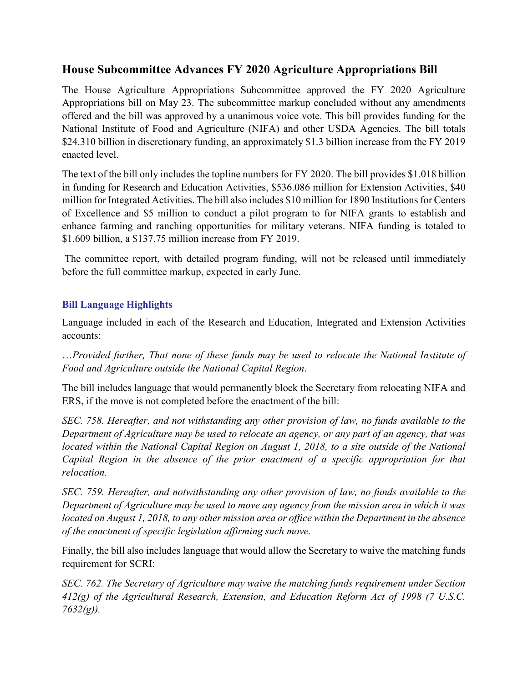## **House Subcommittee Advances FY 2020 Agriculture Appropriations Bill**

The House Agriculture Appropriations Subcommittee approved the FY 2020 Agriculture Appropriations bill on May 23. The subcommittee markup concluded without any amendments offered and the bill was approved by a unanimous voice vote. This bill provides funding for the National Institute of Food and Agriculture (NIFA) and other USDA Agencies. The bill totals \$24.310 billion in discretionary funding, an approximately \$1.3 billion increase from the FY 2019 enacted level.

The text of the bill only includes the topline numbers for FY 2020. The bill provides \$1.018 billion in funding for Research and Education Activities, \$536.086 million for Extension Activities, \$40 million for Integrated Activities. The bill also includes \$10 million for 1890 Institutions for Centers of Excellence and \$5 million to conduct a pilot program to for NIFA grants to establish and enhance farming and ranching opportunities for military veterans. NIFA funding is totaled to \$1.609 billion, a \$137.75 million increase from FY 2019.

The committee report, with detailed program funding, will not be released until immediately before the full committee markup, expected in early June.

## **Bill Language Highlights**

Language included in each of the Research and Education, Integrated and Extension Activities accounts:

…*Provided further, That none of these funds may be used to relocate the National Institute of Food and Agriculture outside the National Capital Region*.

The bill includes language that would permanently block the Secretary from relocating NIFA and ERS, if the move is not completed before the enactment of the bill:

*SEC. 758. Hereafter, and not withstanding any other provision of law, no funds available to the Department of Agriculture may be used to relocate an agency, or any part of an agency, that was located within the National Capital Region on August 1, 2018, to a site outside of the National Capital Region in the absence of the prior enactment of a specific appropriation for that relocation.*

*SEC. 759. Hereafter, and notwithstanding any other provision of law, no funds available to the Department of Agriculture may be used to move any agency from the mission area in which it was located on August 1, 2018, to any other mission area or office within the Department in the absence of the enactment of specific legislation affirming such move.*

Finally, the bill also includes language that would allow the Secretary to waive the matching funds requirement for SCRI:

*SEC. 762. The Secretary of Agriculture may waive the matching funds requirement under Section 412(g) of the Agricultural Research, Extension, and Education Reform Act of 1998 (7 U.S.C. 7632(g)).*